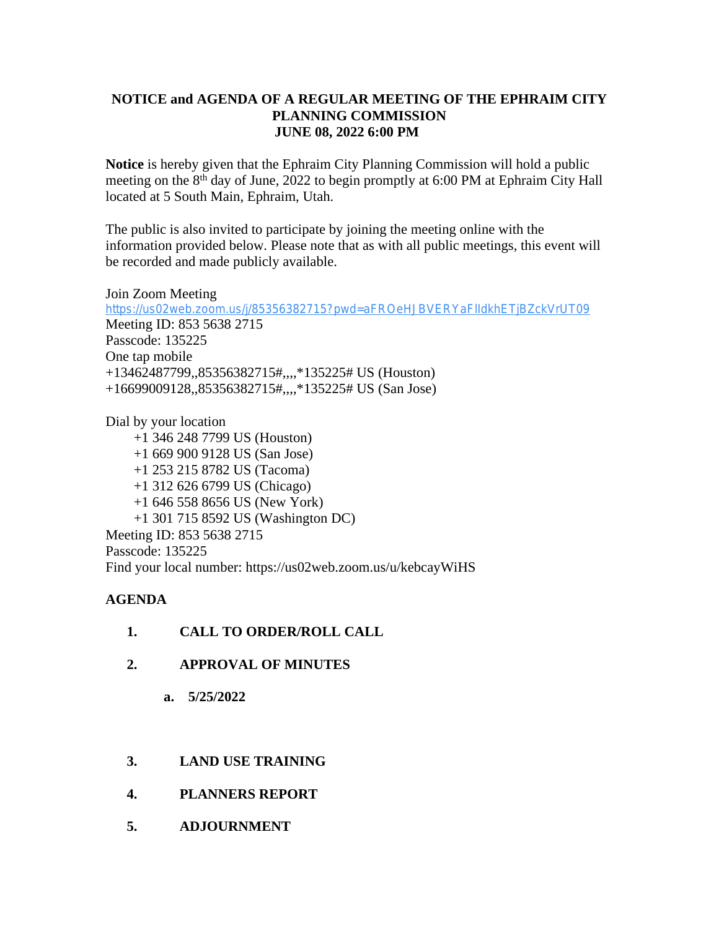## **NOTICE and AGENDA OF A REGULAR MEETING OF THE EPHRAIM CITY PLANNING COMMISSION JUNE 08, 2022 6:00 PM**

**Notice** is hereby given that the Ephraim City Planning Commission will hold a public meeting on the 8<sup>th</sup> day of June, 2022 to begin promptly at 6:00 PM at Ephraim City Hall located at 5 South Main, Ephraim, Utah.

The public is also invited to participate by joining the meeting online with the information provided below. Please note that as with all public meetings, this event will be recorded and made publicly available.

Join Zoom Meeting <https://us02web.zoom.us/j/85356382715?pwd=aFROeHJBVERYaFlIdkhETjBZckVrUT09> Meeting ID: 853 5638 2715 Passcode: 135225 One tap mobile +13462487799,,85356382715#,,,,\*135225# US (Houston) +16699009128,,85356382715#,,,,\*135225# US (San Jose)

Dial by your location +1 346 248 7799 US (Houston) +1 669 900 9128 US (San Jose) +1 253 215 8782 US (Tacoma) +1 312 626 6799 US (Chicago) +1 646 558 8656 US (New York) +1 301 715 8592 US (Washington DC) Meeting ID: 853 5638 2715 Passcode: 135225 Find your local number: https://us02web.zoom.us/u/kebcayWiHS

## **AGENDA**

- **1. CALL TO ORDER/ROLL CALL**
- **2. APPROVAL OF MINUTES**
	- **a. 5/25/2022**
- **3. LAND USE TRAINING**
- **4. PLANNERS REPORT**
- **5. ADJOURNMENT**